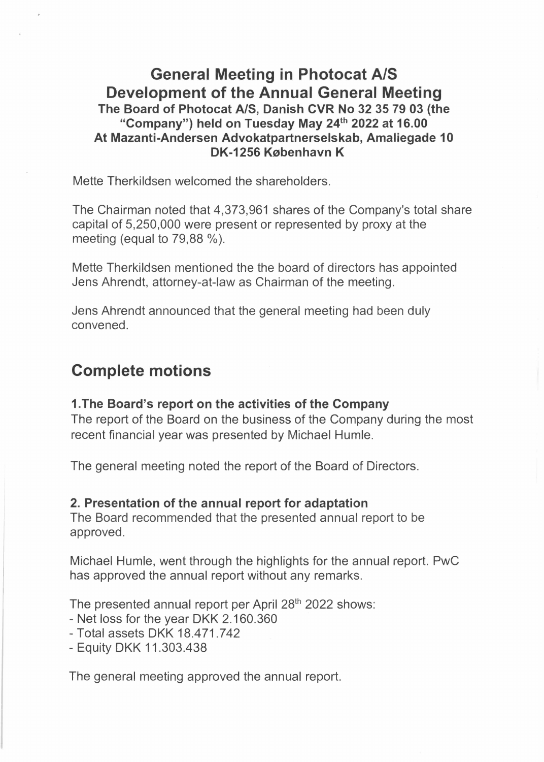## **General Meeting in Photocat A/S Development of the Annual General Meeting The Board of Photocat A/S, Danish CVR No 32 35 79 03 {the "Company") held on Tuesday May 24 th 2022 at 16.00 At Mazanti-Andersen Advokatpartnerselskab, Amaliegade 10 DK-1256 København K**

Mette Therkildsen welcomed the shareholders.

The Chairman noted that 4,373,961 shares of the Company's total share capital of 5,250,000 were present or represented by proxy at the meeting (equal to 79,88 %).

Mette Therkildsen mentioned the the board of directors has appointed Jens Ahrendt, attorney-at-law as Chairman of the meeting.

Jens Ahrendt announced that the general meeting had been duly convened.

# **Complete motions**

#### **1.The Board's report on the activities of the Company**

The report of the Board on the business of the Company during the most recent financial year was presented by Michael Humle.

The general meeting noted the report of the Board of Directors.

#### **2. Presentation of the annual report for adaptation**

The Board recommended that the presented annual report to be approved.

Michael Humle, went through the highlights for the annual report. PwC has approved the annual report without any remarks.

The presented annual report per April 28<sup>th</sup> 2022 shows:

- Net loss for the year DKK 2.160.360
- Total assets DKK 18.471.742
- Equity DKK 11.303.438

The general meeting approved the annual report.